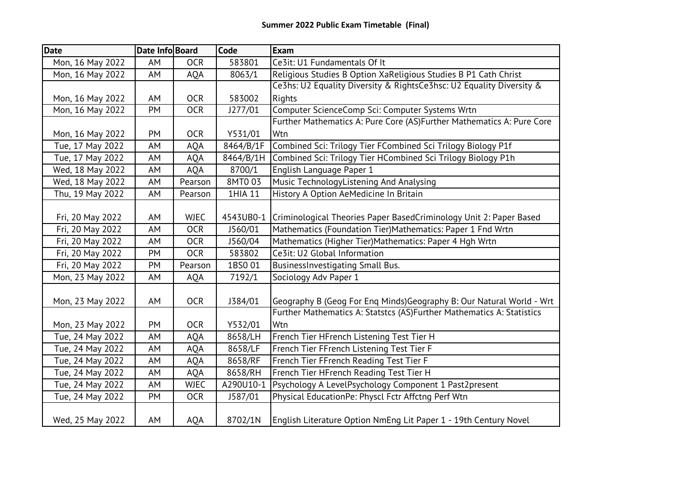| <b>Date</b>      | Date Info Board |             | <b>Code</b> | <b>Exam</b>                                                           |
|------------------|-----------------|-------------|-------------|-----------------------------------------------------------------------|
| Mon, 16 May 2022 | AM              | <b>OCR</b>  | 583801      | Ce3it: U1 Fundamentals Of It                                          |
| Mon, 16 May 2022 | AM              | <b>AQA</b>  | 8063/1      | Religious Studies B Option XaReligious Studies B P1 Cath Christ       |
|                  |                 |             |             | Ce3hs: U2 Equality Diversity & RightsCe3hsc: U2 Equality Diversity &  |
| Mon, 16 May 2022 | AM              | <b>OCR</b>  | 583002      | <b>Rights</b>                                                         |
| Mon, 16 May 2022 | PM              | <b>OCR</b>  | J277/01     | Computer ScienceComp Sci: Computer Systems Wrtn                       |
|                  |                 |             |             | Further Mathematics A: Pure Core (AS)Further Mathematics A: Pure Core |
| Mon, 16 May 2022 | PM              | <b>OCR</b>  | Y531/01     | Wtn                                                                   |
| Tue, 17 May 2022 | AM              | <b>AQA</b>  | 8464/B/1F   | Combined Sci: Trilogy Tier FCombined Sci Trilogy Biology P1f          |
| Tue, 17 May 2022 | AM              | <b>AQA</b>  | 8464/B/1H   | Combined Sci: Trilogy Tier HCombined Sci Trilogy Biology P1h          |
| Wed, 18 May 2022 | AM              | <b>AQA</b>  | 8700/1      | English Language Paper 1                                              |
| Wed, 18 May 2022 | AM              | Pearson     | 8MT003      | Music TechnologyListening And Analysing                               |
| Thu, 19 May 2022 | AM              | Pearson     | 1HIA 11     | History A Option AeMedicine In Britain                                |
|                  |                 |             |             |                                                                       |
| Fri, 20 May 2022 | AM              | <b>WJEC</b> | 4543UB0-1   | Criminological Theories Paper BasedCriminology Unit 2: Paper Based    |
| Fri, 20 May 2022 | AM              | <b>OCR</b>  | J560/01     | Mathematics (Foundation Tier)Mathematics: Paper 1 Fnd Wrtn            |
| Fri, 20 May 2022 | AM              | <b>OCR</b>  | J560/04     | Mathematics (Higher Tier)Mathematics: Paper 4 Hgh Wrtn                |
| Fri, 20 May 2022 | PM              | <b>OCR</b>  | 583802      | Ce3it: U2 Global Information                                          |
| Fri, 20 May 2022 | PM              | Pearson     | 1BS0 01     | BusinessInvestigating Small Bus.                                      |
| Mon, 23 May 2022 | AM              | <b>AQA</b>  | 7192/1      | Sociology Adv Paper 1                                                 |
|                  |                 |             |             |                                                                       |
| Mon, 23 May 2022 | AM              | <b>OCR</b>  | J384/01     | Geography B (Geog For Eng Minds) Geography B: Our Natural World - Wrt |
|                  |                 |             |             | Further Mathematics A: Statstcs (AS)Further Mathematics A: Statistics |
| Mon, 23 May 2022 | <b>PM</b>       | <b>OCR</b>  | Y532/01     | Wtn                                                                   |
| Tue, 24 May 2022 | AM              | <b>AQA</b>  | 8658/LH     | French Tier HFrench Listening Test Tier H                             |
| Tue, 24 May 2022 | AM              | AQA         | 8658/LF     | French Tier FFrench Listening Test Tier F                             |
| Tue, 24 May 2022 | AM              | <b>AQA</b>  | 8658/RF     | French Tier FFrench Reading Test Tier F                               |
| Tue, 24 May 2022 | AM              | <b>AQA</b>  | 8658/RH     | French Tier HFrench Reading Test Tier H                               |
| Tue, 24 May 2022 | AM              | <b>WJEC</b> | A290U10-1   | Psychology A LevelPsychology Component 1 Past2present                 |
| Tue, 24 May 2022 | PM              | <b>OCR</b>  | J587/01     | Physical EducationPe: Physcl Fctr Affctng Perf Wtn                    |
| Wed, 25 May 2022 | AM              | AQA         | 8702/1N     | English Literature Option NmEng Lit Paper 1 - 19th Century Novel      |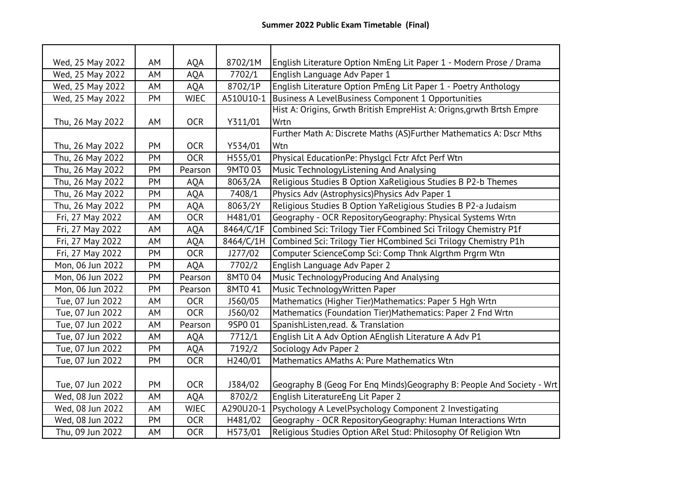| Wed, 25 May 2022 | AM | <b>AQA</b>  | 8702/1M   | English Literature Option NmEng Lit Paper 1 - Modern Prose / Drama     |
|------------------|----|-------------|-----------|------------------------------------------------------------------------|
| Wed, 25 May 2022 | AM | <b>AQA</b>  | 7702/1    | English Language Adv Paper 1                                           |
| Wed, 25 May 2022 | AM | <b>AQA</b>  | 8702/1P   | English Literature Option PmEng Lit Paper 1 - Poetry Anthology         |
| Wed, 25 May 2022 | PM | <b>WJEC</b> | A510U10-1 | Business A LevelBusiness Component 1 Opportunities                     |
|                  |    |             |           | Hist A: Origins, Grwth British EmpreHist A: Origns, grwth Brtsh Empre  |
| Thu, 26 May 2022 | AM | <b>OCR</b>  | Y311/01   | Wrtn                                                                   |
|                  |    |             |           | Further Math A: Discrete Maths (AS)Further Mathematics A: Dscr Mths    |
| Thu, 26 May 2022 | PM | <b>OCR</b>  | Y534/01   | Wtn                                                                    |
| Thu, 26 May 2022 | PM | <b>OCR</b>  | H555/01   | Physical EducationPe: Physlgcl Fctr Afct Perf Wtn                      |
| Thu, 26 May 2022 | PM | Pearson     | 9MT003    | Music TechnologyListening And Analysing                                |
| Thu, 26 May 2022 | PM | <b>AQA</b>  | 8063/2A   | Religious Studies B Option XaReligious Studies B P2-b Themes           |
| Thu, 26 May 2022 | PM | AQA         | 7408/1    | Physics Adv (Astrophysics) Physics Adv Paper 1                         |
| Thu, 26 May 2022 | PM | AQA         | 8063/2Y   | Religious Studies B Option YaReligious Studies B P2-a Judaism          |
| Fri, 27 May 2022 | AM | <b>OCR</b>  | H481/01   | Geography - OCR RepositoryGeography: Physical Systems Wrtn             |
| Fri, 27 May 2022 | AM | <b>AQA</b>  | 8464/C/1F | Combined Sci: Trilogy Tier FCombined Sci Trilogy Chemistry P1f         |
| Fri, 27 May 2022 | AM | <b>AQA</b>  | 8464/C/1H | Combined Sci: Trilogy Tier HCombined Sci Trilogy Chemistry P1h         |
| Fri, 27 May 2022 | PM | <b>OCR</b>  | J277/02   | Computer ScienceComp Sci: Comp Thnk Algrthm Prgrm Wtn                  |
| Mon, 06 Jun 2022 | PM | <b>AQA</b>  | 7702/2    | English Language Adv Paper 2                                           |
| Mon, 06 Jun 2022 | PM | Pearson     | 8MT004    | Music TechnologyProducing And Analysing                                |
| Mon, 06 Jun 2022 | PM | Pearson     | 8MT0 41   | Music TechnologyWritten Paper                                          |
| Tue, 07 Jun 2022 | AM | <b>OCR</b>  | J560/05   | Mathematics (Higher Tier)Mathematics: Paper 5 Hgh Wrtn                 |
| Tue, 07 Jun 2022 | AM | <b>OCR</b>  | J560/02   | Mathematics (Foundation Tier)Mathematics: Paper 2 Fnd Wrtn             |
| Tue, 07 Jun 2022 | AM | Pearson     | 9SP0 01   | SpanishListen, read. & Translation                                     |
| Tue, 07 Jun 2022 | AM | <b>AQA</b>  | 7712/1    | English Lit A Adv Option AEnglish Literature A Adv P1                  |
| Tue, 07 Jun 2022 | PM | AQA         | 7192/2    | Sociology Adv Paper 2                                                  |
| Tue, 07 Jun 2022 | PM | <b>OCR</b>  | H240/01   | Mathematics AMaths A: Pure Mathematics Wtn                             |
|                  |    |             |           |                                                                        |
| Tue, 07 Jun 2022 | PM | <b>OCR</b>  | J384/02   | Geography B (Geog For Eng Minds) Geography B: People And Society - Wrt |
| Wed, 08 Jun 2022 | AM | <b>AQA</b>  | 8702/2    | English LiteratureEng Lit Paper 2                                      |
| Wed, 08 Jun 2022 | AM | <b>WJEC</b> | A290U20-1 | Psychology A LevelPsychology Component 2 Investigating                 |
| Wed, 08 Jun 2022 | PM | <b>OCR</b>  | H481/02   | Geography - OCR RepositoryGeography: Human Interactions Wrtn           |
| Thu, 09 Jun 2022 | AM | <b>OCR</b>  | H573/01   | Religious Studies Option ARel Stud: Philosophy Of Religion Wtn         |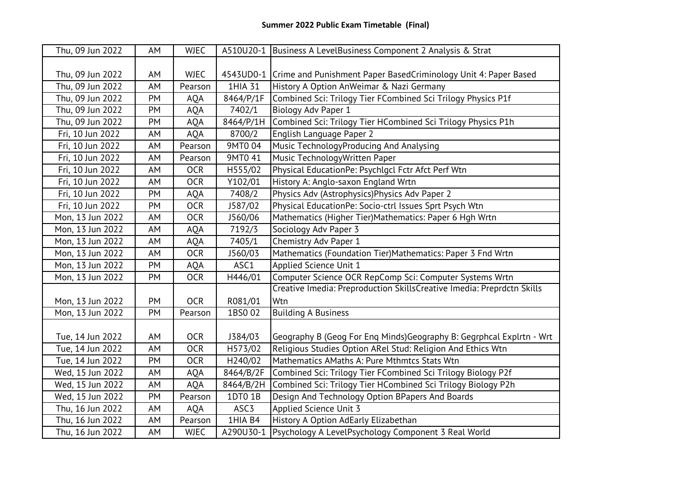| Thu, 09 Jun 2022 | AM | <b>WJEC</b> |           | A510U20-1 Business A LevelBusiness Component 2 Analysis & Strat           |
|------------------|----|-------------|-----------|---------------------------------------------------------------------------|
|                  |    |             |           |                                                                           |
| Thu, 09 Jun 2022 | AM | <b>WJEC</b> |           | 4543UD0-1 Crime and Punishment Paper BasedCriminology Unit 4: Paper Based |
| Thu, 09 Jun 2022 | AM | Pearson     | 1HIA 31   | History A Option AnWeimar & Nazi Germany                                  |
| Thu, 09 Jun 2022 | PM | <b>AQA</b>  | 8464/P/1F | Combined Sci: Trilogy Tier FCombined Sci Trilogy Physics P1f              |
| Thu, 09 Jun 2022 | PM | <b>AQA</b>  | 7402/1    | Biology Adv Paper 1                                                       |
| Thu, 09 Jun 2022 | PM | <b>AQA</b>  | 8464/P/1H | Combined Sci: Trilogy Tier HCombined Sci Trilogy Physics P1h              |
| Fri, 10 Jun 2022 | AM | AQA         | 8700/2    | English Language Paper 2                                                  |
| Fri, 10 Jun 2022 | AM | Pearson     | 9MT0 04   | Music TechnologyProducing And Analysing                                   |
| Fri, 10 Jun 2022 | AM | Pearson     | 9MT0 41   | Music TechnologyWritten Paper                                             |
| Fri, 10 Jun 2022 | AM | <b>OCR</b>  | H555/02   | Physical EducationPe: Psychlgcl Fctr Afct Perf Wtn                        |
| Fri, 10 Jun 2022 | AM | <b>OCR</b>  | Y102/01   | History A: Anglo-saxon England Wrtn                                       |
| Fri, 10 Jun 2022 | PM | AQA         | 7408/2    | Physics Adv (Astrophysics) Physics Adv Paper 2                            |
| Fri, 10 Jun 2022 | PM | <b>OCR</b>  | 1587/02   | Physical EducationPe: Socio-ctrl Issues Sprt Psych Wtn                    |
| Mon, 13 Jun 2022 | AM | <b>OCR</b>  | J560/06   | Mathematics (Higher Tier)Mathematics: Paper 6 Hgh Wrtn                    |
| Mon, 13 Jun 2022 | AM | <b>AQA</b>  | 7192/3    | Sociology Adv Paper 3                                                     |
| Mon, 13 Jun 2022 | AM | AQA         | 7405/1    | Chemistry Adv Paper 1                                                     |
| Mon, 13 Jun 2022 | AM | <b>OCR</b>  | J560/03   | Mathematics (Foundation Tier)Mathematics: Paper 3 Fnd Wrtn                |
| Mon, 13 Jun 2022 | PM | <b>AQA</b>  | ASC1      | Applied Science Unit 1                                                    |
| Mon, 13 Jun 2022 | PM | <b>OCR</b>  | H446/01   | Computer Science OCR RepComp Sci: Computer Systems Wrtn                   |
|                  |    |             |           | Creative Imedia: Preproduction SkillsCreative Imedia: Preprdctn Skills    |
| Mon, 13 Jun 2022 | PM | <b>OCR</b>  | R081/01   | Wtn                                                                       |
| Mon, 13 Jun 2022 | PM | Pearson     | 1BS002    | <b>Building A Business</b>                                                |
|                  |    |             |           |                                                                           |
| Tue, 14 Jun 2022 | AM | <b>OCR</b>  | J384/03   | Geography B (Geog For Eng Minds) Geography B: Gegrphcal Explrtn - Wrt     |
| Tue, 14 Jun 2022 | AM | <b>OCR</b>  | H573/02   | Religious Studies Option ARel Stud: Religion And Ethics Wtn               |
| Tue, 14 Jun 2022 | PM | <b>OCR</b>  | H240/02   | Mathematics AMaths A: Pure Mthmtcs Stats Wtn                              |
| Wed, 15 Jun 2022 | AM | <b>AQA</b>  | 8464/B/2F | Combined Sci: Trilogy Tier FCombined Sci Trilogy Biology P2f              |
| Wed, 15 Jun 2022 | AM | <b>AQA</b>  | 8464/B/2H | Combined Sci: Trilogy Tier HCombined Sci Trilogy Biology P2h              |
| Wed, 15 Jun 2022 | PM | Pearson     | 1DT0 1B   | Design And Technology Option BPapers And Boards                           |
| Thu, 16 Jun 2022 | AM | <b>AQA</b>  | ASC3      | Applied Science Unit 3                                                    |
| Thu, 16 Jun 2022 | AM | Pearson     | 1HIA B4   | History A Option AdEarly Elizabethan                                      |
| Thu, 16 Jun 2022 | AM | <b>WJEC</b> | A290U30-1 | Psychology A LevelPsychology Component 3 Real World                       |